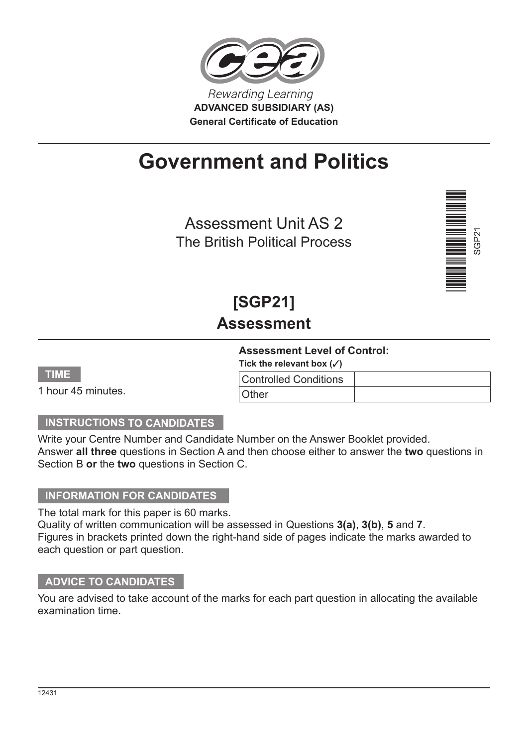

# **Government and Politics**

Assessment Unit AS 2 The British Political Process



# **[SGP21] Assessment**

### **Assessment Level of Control:**

Tick the relevant box  $({\checkmark})$ Controlled Conditions

| ٠<br>a s<br>. .<br>ш |  |
|----------------------|--|
| -<br>-<br>ー<br>▃     |  |

1 hour 45 minutes.

# **INSTRUCTIONS TO CANDIDATES**

Write your Centre Number and Candidate Number on the Answer Booklet provided. Answer **all three** questions in Section A and then choose either to answer the **two** questions in Section B **or** the **two** questions in Section C.

**Other** 

### **INFORMATION FOR CANDIDATES**

The total mark for this paper is 60 marks.

Quality of written communication will be assessed in Questions **3(a)**, **3(b)**, **5** and **7**. Figures in brackets printed down the right-hand side of pages indicate the marks awarded to each question or part question.

### **ADVICE TO CANDIDATES**

You are advised to take account of the marks for each part question in allocating the available examination time.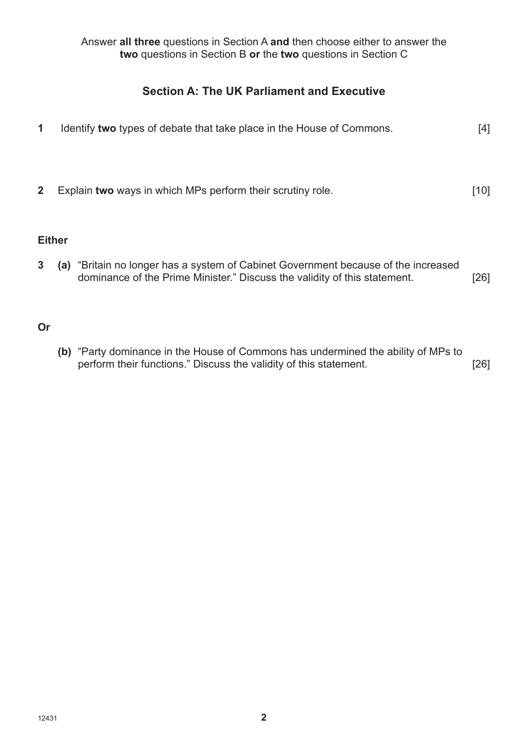Answer **all three** questions in Section A **and** then choose either to answer the **two** questions in Section B **or** the **two** questions in Section C

# **Section A: The UK Parliament and Executive**

**1** Identify **two** types of debate that take place in the House of Commons. [4] **2** Explain **two** ways in which MPs perform their scrutiny role. [10] **Either 3 (a)** "Britain no longer has a system of Cabinet Government because of the increased dominance of the Prime Minister." Discuss the validity of this statement. [26]

#### **Or**

**(b)** "Party dominance in the House of Commons has undermined the ability of MPs to perform their functions." Discuss the validity of this statement. [26]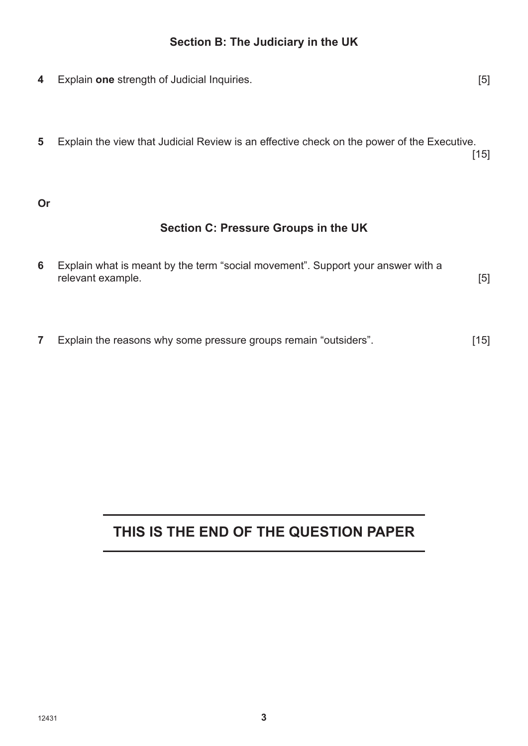# **Section B: The Judiciary in the UK**

- **4** Explain **one** strength of Judicial Inquiries. [5]
- **5** Explain the view that Judicial Review is an effective check on the power of the Executive.<br>[15] . In the case of the contract of the contract of  $[15]$

#### **Or**

### **Section C: Pressure Groups in the UK**

| 6 Explain what is meant by the term "social movement". Support your answer with a |  |
|-----------------------------------------------------------------------------------|--|
| relevant example.                                                                 |  |

**7** Explain the reasons why some pressure groups remain "outsiders". [15]

# **THIS IS THE END OF THE QUESTION PAPER**